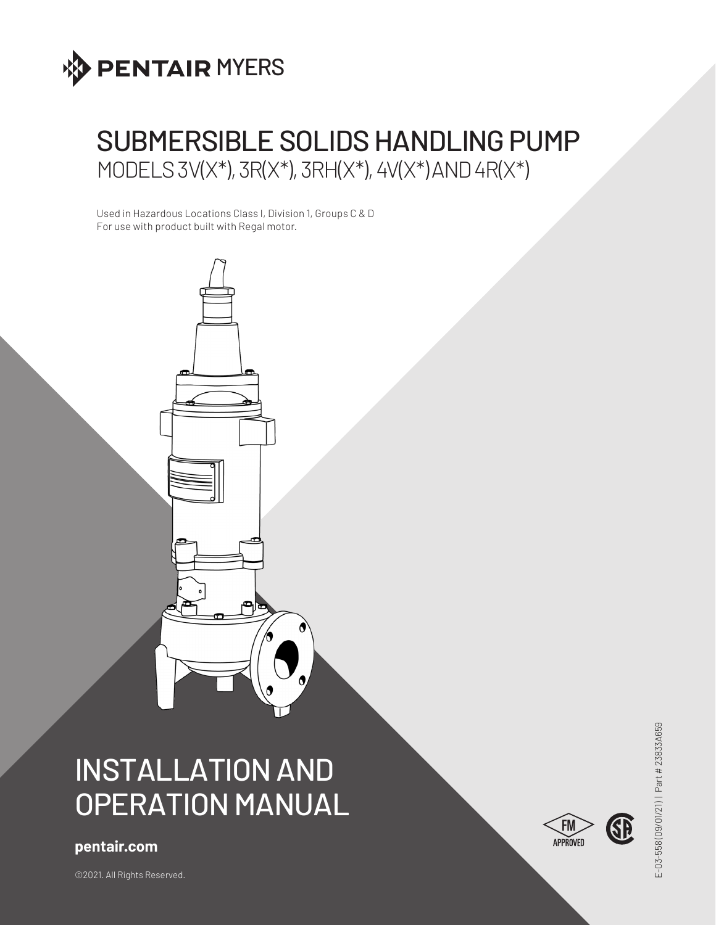

## SUBMERSIBLE SOLIDS HANDLING PUMP MODELS 3V(X\*), 3R(X\*), 3RH(X\*), 4V(X\*) AND 4R(X\*)

Used in Hazardous Locations Class I, Division 1, Groups C & D For use with product built with Regal motor.



# INSTALLATION AND OPERATION MANUAL

### **pentair.com**

©2021. All Rights Reserved.

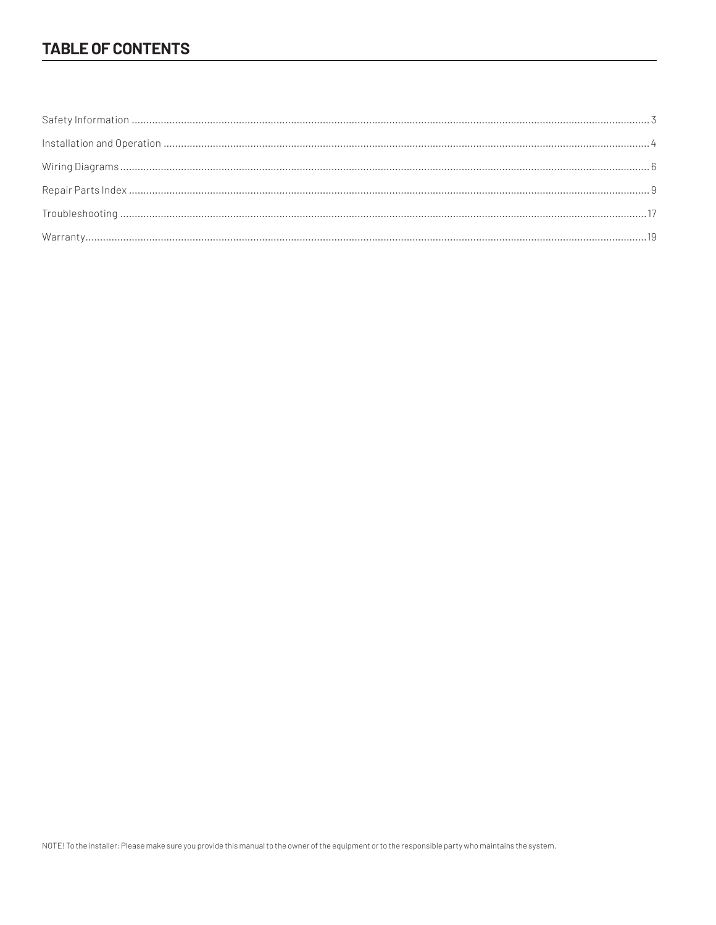## **TABLE OF CONTENTS**

NOTE! To the installer: Please make sure you provide this manual to the owner of the equipment or to the responsible party who maintains the system.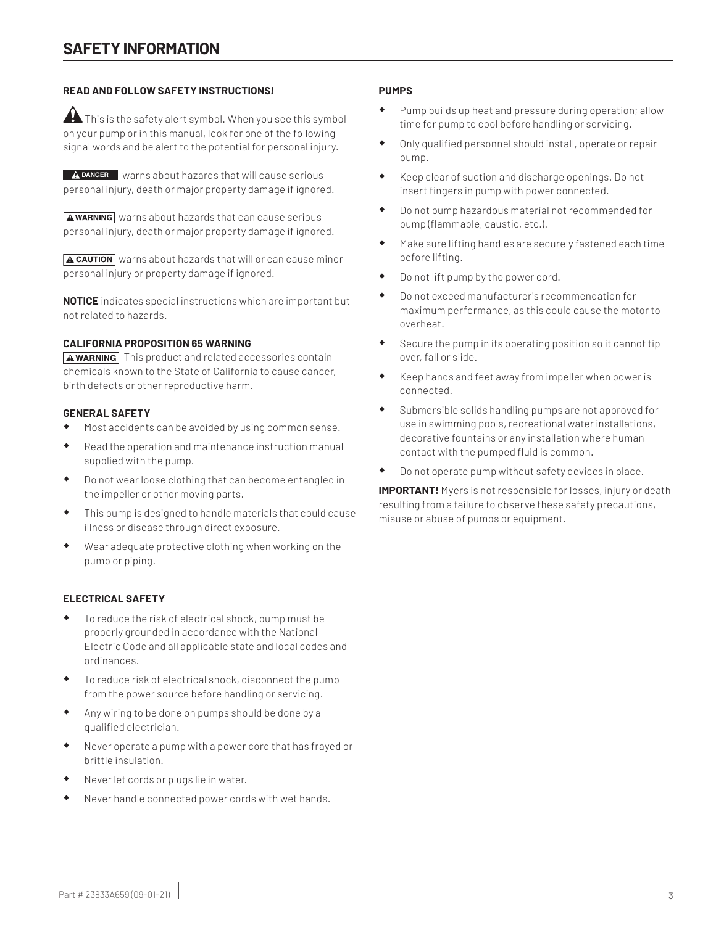#### **READ AND FOLLOW SAFETY INSTRUCTIONS!**

 $\blacktriangle$  This is the safety alert symbol. When you see this symbol on your pump or in this manual, look for one of the following signal words and be alert to the potential for personal injury.

**A DANGER** warns about hazards that will cause serious personal injury, death or major property damage if ignored.

 $A$  warns about hazards that can cause serious personal injury, death or major property damage if ignored.

 $A$  CAUTION warns about hazards that will or can cause minor personal injury or property damage if ignored.

**NOTICE** indicates special instructions which are important but not related to hazards.

#### **CALIFORNIA PROPOSITION 65 WARNING**

 $A$  warning This product and related accessories contain chemicals known to the State of California to cause cancer, birth defects or other reproductive harm.

#### **GENERAL SAFETY**

- Most accidents can be avoided by using common sense.
- Read the operation and maintenance instruction manual supplied with the pump.
- Do not wear loose clothing that can become entangled in the impeller or other moving parts.
- This pump is designed to handle materials that could cause illness or disease through direct exposure.
- Wear adequate protective clothing when working on the pump or piping.

#### **ELECTRICAL SAFETY**

- To reduce the risk of electrical shock, pump must be properly grounded in accordance with the National Electric Code and all applicable state and local codes and ordinances.
- To reduce risk of electrical shock, disconnect the pump from the power source before handling or servicing.
- Any wiring to be done on pumps should be done by a qualified electrician.
- Never operate a pump with a power cord that has frayed or brittle insulation.
- Never let cords or plugs lie in water.
- Never handle connected power cords with wet hands.

#### **PUMPS**

- Pump builds up heat and pressure during operation; allow time for pump to cool before handling or servicing.
- Only qualified personnel should install, operate or repair pump.
- Keep clear of suction and discharge openings. Do not insert fingers in pump with power connected.
- Do not pump hazardous material not recommended for pump (flammable, caustic, etc.).
- Make sure lifting handles are securely fastened each time before lifting.
- Do not lift pump by the power cord.
- Do not exceed manufacturer's recommendation for maximum performance, as this could cause the motor to overheat.
- Secure the pump in its operating position so it cannot tip over, fall or slide.
- Keep hands and feet away from impeller when power is connected.
- Submersible solids handling pumps are not approved for use in swimming pools, recreational water installations, decorative fountains or any installation where human contact with the pumped fluid is common.
- Do not operate pump without safety devices in place.

**IMPORTANT!** Myers is not responsible for losses, injury or death resulting from a failure to observe these safety precautions, misuse or abuse of pumps or equipment.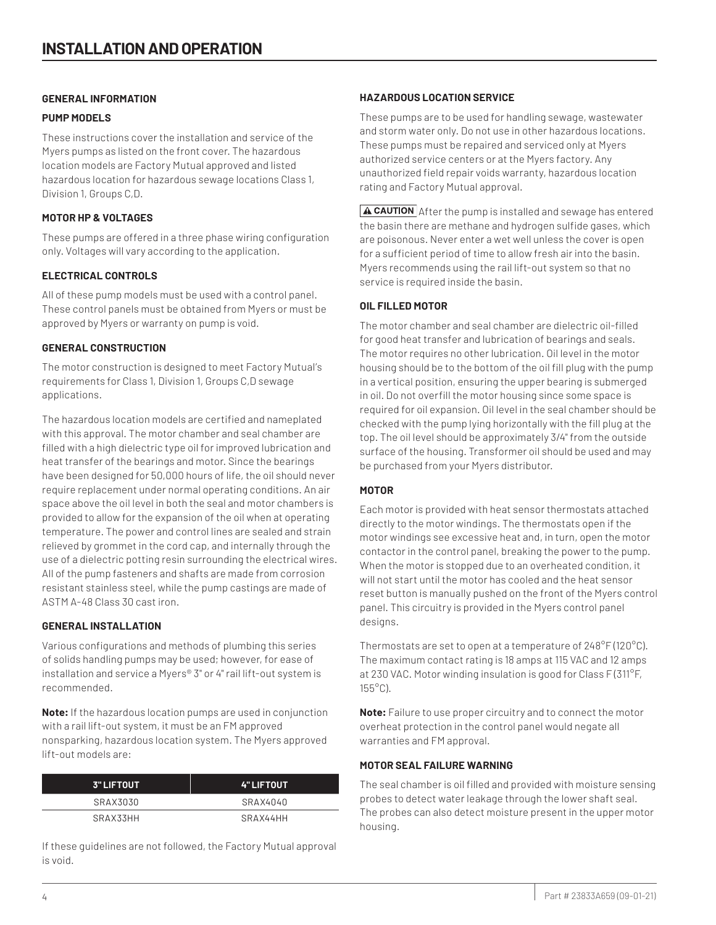#### **GENERAL INFORMATION**

#### **PUMP MODELS**

These instructions cover the installation and service of the Myers pumps as listed on the front cover. The hazardous location models are Factory Mutual approved and listed hazardous location for hazardous sewage locations Class 1, Division 1, Groups C,D.

#### **MOTOR HP & VOLTAGES**

These pumps are offered in a three phase wiring configuration only. Voltages will vary according to the application.

#### **ELECTRICAL CONTROLS**

All of these pump models must be used with a control panel. These control panels must be obtained from Myers or must be approved by Myers or warranty on pump is void.

#### **GENERAL CONSTRUCTION**

The motor construction is designed to meet Factory Mutual's requirements for Class 1, Division 1, Groups C,D sewage applications.

The hazardous location models are certified and nameplated with this approval. The motor chamber and seal chamber are filled with a high dielectric type oil for improved lubrication and heat transfer of the bearings and motor. Since the bearings have been designed for 50,000 hours of life, the oil should never require replacement under normal operating conditions. An air space above the oil level in both the seal and motor chambers is provided to allow for the expansion of the oil when at operating temperature. The power and control lines are sealed and strain relieved by grommet in the cord cap, and internally through the use of a dielectric potting resin surrounding the electrical wires. All of the pump fasteners and shafts are made from corrosion resistant stainless steel, while the pump castings are made of ASTM A-48 Class 30 cast iron.

#### **GENERAL INSTALLATION**

Various configurations and methods of plumbing this series of solids handling pumps may be used; however, for ease of installation and service a Myers® 3" or 4" rail lift-out system is recommended.

**Note:** If the hazardous location pumps are used in conjunction with a rail lift-out system, it must be an FM approved nonsparking, hazardous location system. The Myers approved lift-out models are:

| <b>3" LIFTOUT</b> | <b>4" LIFTOUT</b> |
|-------------------|-------------------|
| SRAX3030          | SRAX4040          |
| SRAX33HH          | SRAX44HH          |

If these guidelines are not followed, the Factory Mutual approval is void.

#### **HAZARDOUS LOCATION SERVICE**

These pumps are to be used for handling sewage, wastewater and storm water only. Do not use in other hazardous locations. These pumps must be repaired and serviced only at Myers authorized service centers or at the Myers factory. Any unauthorized field repair voids warranty, hazardous location rating and Factory Mutual approval.

 $\sqrt{\text{A CAUTION}}$  After the pump is installed and sewage has entered the basin there are methane and hydrogen sulfide gases, which are poisonous. Never enter a wet well unless the cover is open for a sufficient period of time to allow fresh air into the basin. Myers recommends using the rail lift-out system so that no service is required inside the basin.

#### **OIL FILLED MOTOR**

The motor chamber and seal chamber are dielectric oil-filled for good heat transfer and lubrication of bearings and seals. The motor requires no other lubrication. Oil level in the motor housing should be to the bottom of the oil fill plug with the pump in a vertical position, ensuring the upper bearing is submerged in oil. Do not overfill the motor housing since some space is required for oil expansion. Oil level in the seal chamber should be checked with the pump lying horizontally with the fill plug at the top. The oil level should be approximately 3/4" from the outside surface of the housing. Transformer oil should be used and may be purchased from your Myers distributor.

#### **MOTOR**

Each motor is provided with heat sensor thermostats attached directly to the motor windings. The thermostats open if the motor windings see excessive heat and, in turn, open the motor contactor in the control panel, breaking the power to the pump. When the motor is stopped due to an overheated condition, it will not start until the motor has cooled and the heat sensor reset button is manually pushed on the front of the Myers control panel. This circuitry is provided in the Myers control panel designs.

Thermostats are set to open at a temperature of 248°F (120°C). The maximum contact rating is 18 amps at 115 VAC and 12 amps at 230 VAC. Motor winding insulation is good for Class F (311°F,  $155^{\circ}$ C).

**Note:** Failure to use proper circuitry and to connect the motor overheat protection in the control panel would negate all warranties and FM approval.

#### **MOTOR SEAL FAILURE WARNING**

The seal chamber is oil filled and provided with moisture sensing probes to detect water leakage through the lower shaft seal. The probes can also detect moisture present in the upper motor housing.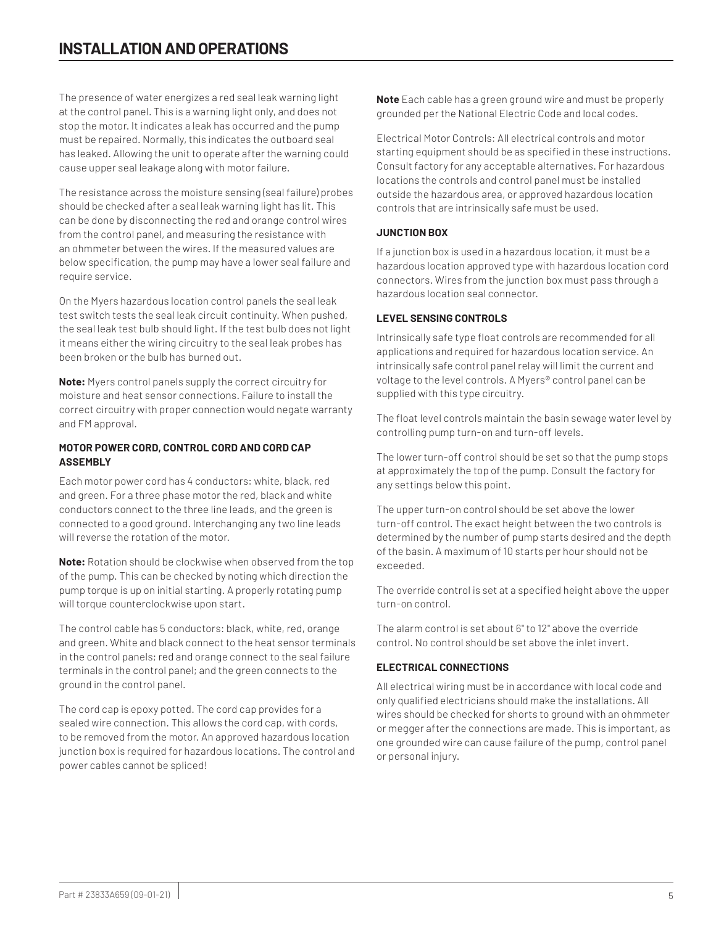The presence of water energizes a red seal leak warning light at the control panel. This is a warning light only, and does not stop the motor. It indicates a leak has occurred and the pump must be repaired. Normally, this indicates the outboard seal has leaked. Allowing the unit to operate after the warning could cause upper seal leakage along with motor failure.

The resistance across the moisture sensing (seal failure) probes should be checked after a seal leak warning light has lit. This can be done by disconnecting the red and orange control wires from the control panel, and measuring the resistance with an ohmmeter between the wires. If the measured values are below specification, the pump may have a lower seal failure and require service.

On the Myers hazardous location control panels the seal leak test switch tests the seal leak circuit continuity. When pushed, the seal leak test bulb should light. If the test bulb does not light it means either the wiring circuitry to the seal leak probes has been broken or the bulb has burned out.

**Note:** Myers control panels supply the correct circuitry for moisture and heat sensor connections. Failure to install the correct circuitry with proper connection would negate warranty and FM approval.

#### **MOTOR POWER CORD, CONTROL CORD AND CORD CAP ASSEMBLY**

Each motor power cord has 4 conductors: white, black, red and green. For a three phase motor the red, black and white conductors connect to the three line leads, and the green is connected to a good ground. Interchanging any two line leads will reverse the rotation of the motor.

**Note:** Rotation should be clockwise when observed from the top of the pump. This can be checked by noting which direction the pump torque is up on initial starting. A properly rotating pump will torque counterclockwise upon start.

The control cable has 5 conductors: black, white, red, orange and green. White and black connect to the heat sensor terminals in the control panels; red and orange connect to the seal failure terminals in the control panel; and the green connects to the ground in the control panel.

The cord cap is epoxy potted. The cord cap provides for a sealed wire connection. This allows the cord cap, with cords, to be removed from the motor. An approved hazardous location junction box is required for hazardous locations. The control and power cables cannot be spliced!

**Note** Each cable has a green ground wire and must be properly grounded per the National Electric Code and local codes.

Electrical Motor Controls: All electrical controls and motor starting equipment should be as specified in these instructions. Consult factory for any acceptable alternatives. For hazardous locations the controls and control panel must be installed outside the hazardous area, or approved hazardous location controls that are intrinsically safe must be used.

#### **JUNCTION BOX**

If a junction box is used in a hazardous location, it must be a hazardous location approved type with hazardous location cord connectors. Wires from the junction box must pass through a hazardous location seal connector.

#### **LEVEL SENSING CONTROLS**

Intrinsically safe type float controls are recommended for all applications and required for hazardous location service. An intrinsically safe control panel relay will limit the current and voltage to the level controls. A Myers® control panel can be supplied with this type circuitry.

The float level controls maintain the basin sewage water level by controlling pump turn-on and turn-off levels.

The lower turn-off control should be set so that the pump stops at approximately the top of the pump. Consult the factory for any settings below this point.

The upper turn-on control should be set above the lower turn-off control. The exact height between the two controls is determined by the number of pump starts desired and the depth of the basin. A maximum of 10 starts per hour should not be exceeded.

The override control is set at a specified height above the upper turn-on control.

The alarm control is set about 6" to 12" above the override control. No control should be set above the inlet invert.

#### **ELECTRICAL CONNECTIONS**

All electrical wiring must be in accordance with local code and only qualified electricians should make the installations. All wires should be checked for shorts to ground with an ohmmeter or megger after the connections are made. This is important, as one grounded wire can cause failure of the pump, control panel or personal injury.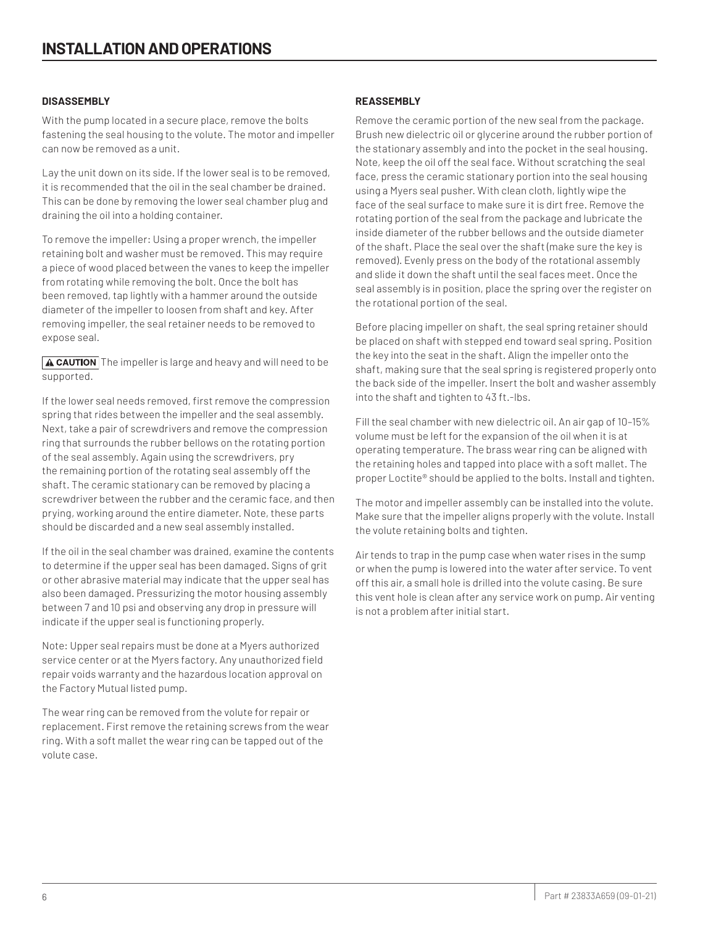#### **DISASSEMBLY**

With the pump located in a secure place, remove the bolts fastening the seal housing to the volute. The motor and impeller can now be removed as a unit.

Lay the unit down on its side. If the lower seal is to be removed, it is recommended that the oil in the seal chamber be drained. This can be done by removing the lower seal chamber plug and draining the oil into a holding container.

To remove the impeller: Using a proper wrench, the impeller retaining bolt and washer must be removed. This may require a piece of wood placed between the vanes to keep the impeller from rotating while removing the bolt. Once the bolt has been removed, tap lightly with a hammer around the outside diameter of the impeller to loosen from shaft and key. After removing impeller, the seal retainer needs to be removed to expose seal.

 $\sqrt{\text{A CAUTION}}$  The impeller is large and heavy and will need to be supported.

If the lower seal needs removed, first remove the compression spring that rides between the impeller and the seal assembly. Next, take a pair of screwdrivers and remove the compression ring that surrounds the rubber bellows on the rotating portion of the seal assembly. Again using the screwdrivers, pry the remaining portion of the rotating seal assembly off the shaft. The ceramic stationary can be removed by placing a screwdriver between the rubber and the ceramic face, and then prying, working around the entire diameter. Note, these parts should be discarded and a new seal assembly installed.

If the oil in the seal chamber was drained, examine the contents to determine if the upper seal has been damaged. Signs of grit or other abrasive material may indicate that the upper seal has also been damaged. Pressurizing the motor housing assembly between 7 and 10 psi and observing any drop in pressure will indicate if the upper seal is functioning properly.

Note: Upper seal repairs must be done at a Myers authorized service center or at the Myers factory. Any unauthorized field repair voids warranty and the hazardous location approval on the Factory Mutual listed pump.

The wear ring can be removed from the volute for repair or replacement. First remove the retaining screws from the wear ring. With a soft mallet the wear ring can be tapped out of the volute case.

#### **REASSEMBLY**

Remove the ceramic portion of the new seal from the package. Brush new dielectric oil or glycerine around the rubber portion of the stationary assembly and into the pocket in the seal housing. Note, keep the oil off the seal face. Without scratching the seal face, press the ceramic stationary portion into the seal housing using a Myers seal pusher. With clean cloth, lightly wipe the face of the seal surface to make sure it is dirt free. Remove the rotating portion of the seal from the package and lubricate the inside diameter of the rubber bellows and the outside diameter of the shaft. Place the seal over the shaft (make sure the key is removed). Evenly press on the body of the rotational assembly and slide it down the shaft until the seal faces meet. Once the seal assembly is in position, place the spring over the register on the rotational portion of the seal.

Before placing impeller on shaft, the seal spring retainer should be placed on shaft with stepped end toward seal spring. Position the key into the seat in the shaft. Align the impeller onto the shaft, making sure that the seal spring is registered properly onto the back side of the impeller. Insert the bolt and washer assembly into the shaft and tighten to 43 ft.-lbs.

Fill the seal chamber with new dielectric oil. An air gap of 10–15% volume must be left for the expansion of the oil when it is at operating temperature. The brass wear ring can be aligned with the retaining holes and tapped into place with a soft mallet. The proper Loctite® should be applied to the bolts. Install and tighten.

The motor and impeller assembly can be installed into the volute. Make sure that the impeller aligns properly with the volute. Install the volute retaining bolts and tighten.

Air tends to trap in the pump case when water rises in the sump or when the pump is lowered into the water after service. To vent off this air, a small hole is drilled into the volute casing. Be sure this vent hole is clean after any service work on pump. Air venting is not a problem after initial start.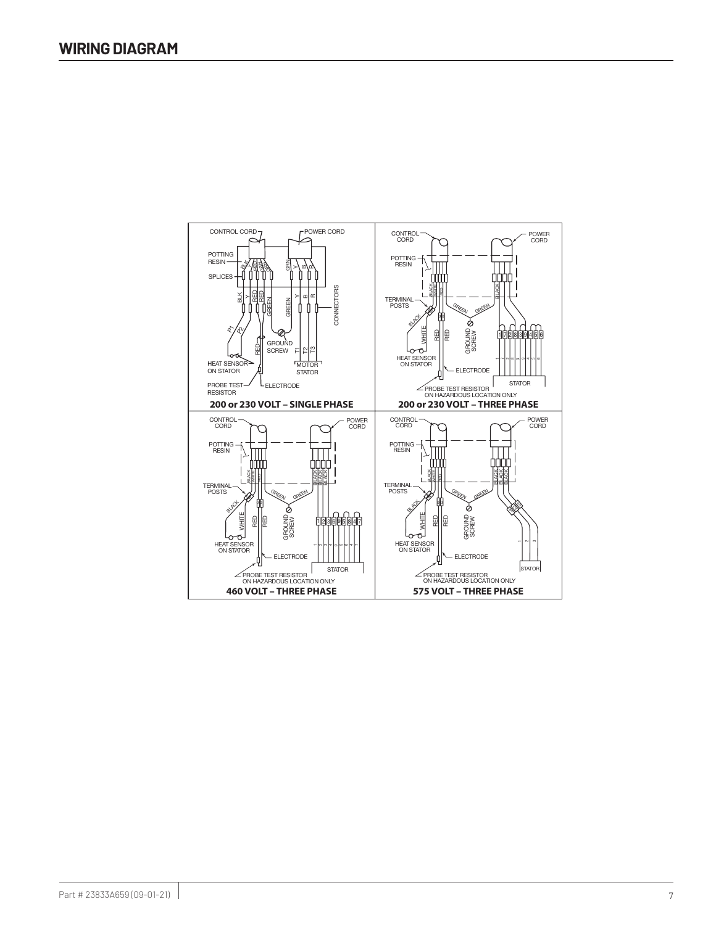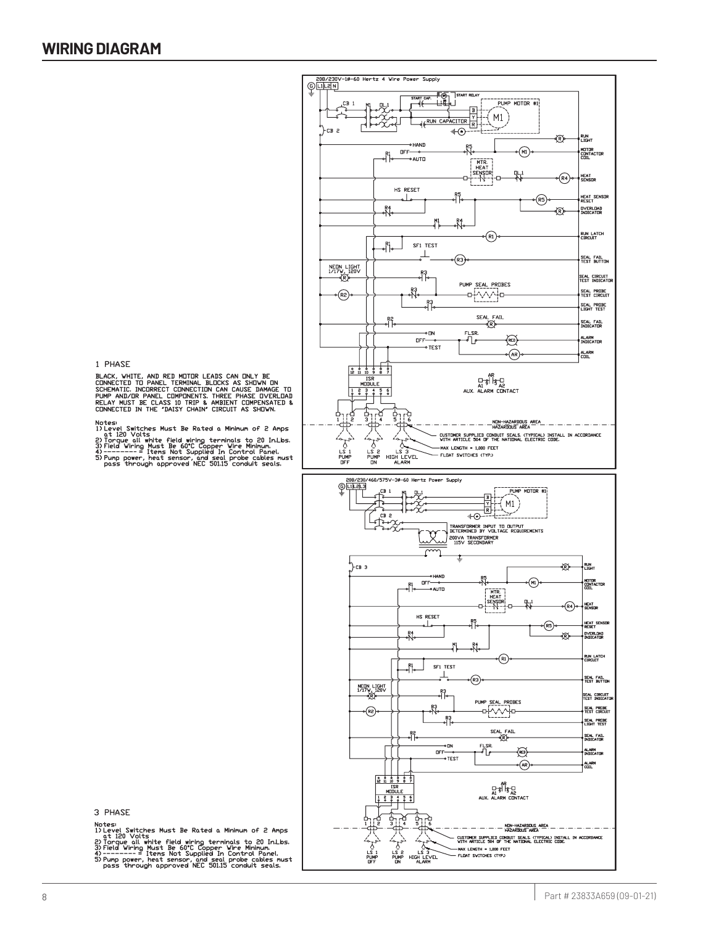#### **WIRING DIAGRAM**



1 PHASE

BLACK, WHITE, AND RED MOTOR LEADS CAN ONLY BE<br>CONNECTED TO PANEL TERNINAL BLOCKS AS SHOWN ON<br>SCHEMATIC. INCORRECT CONNECTION CAN CAUSE DAMAGE TO<br>PUMP AND/OR PANEL COMPONENTS. THREE PHASE OVERLOAD<br>RELAY MUST BE CLASS 10 TRI

Notes:<br>20 Level Switches Must Be Rated a Minimum of 2 Amps<br>20 Level Switches Must Be Rated wining terminals to 20 In.Lbs.<br>20 Iorque all white field wining terminals to 20 In.Lbs.<br>3) Field Wining Must Be 60°C Copper Wire Mi



Notes:<br>2010 Notes: Switches Must Be Rated a Minimum of 2 Amps<br>2010 Notes:<br>2010 Notes:<br>2010 Notes: 2010 White field wining terminals to 2011n.lbs.<br>3) Field Wining Must Be 60°C Copper Wire Minimum.<br>4) --------- Items Not Sup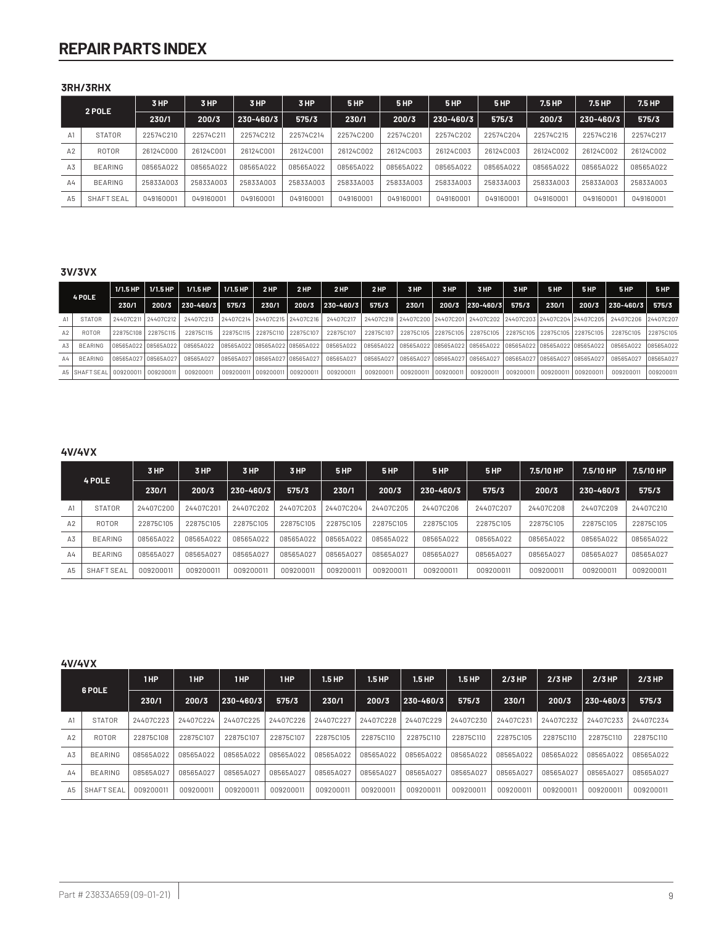#### **3RH/3RHX**

|                | 2 POLE         | 3 HP      | 3 HP      | 3 HP      | 3 HP      | <b>5 HP</b> | <b>5 HP</b> | 5 HP      | <b>5 HP</b> | 7.5 HP    | 7.5 HP    | 7.5 HP    |
|----------------|----------------|-----------|-----------|-----------|-----------|-------------|-------------|-----------|-------------|-----------|-----------|-----------|
|                |                | 230/1     | 200/3     | 230-460/3 | 575/3     | 230/1       | 200/3       | 230-460/3 | 575/3       | 200/3     | 230-460/3 | 575/3     |
| A1             | <b>STATOR</b>  | 22574C210 | 22574C211 | 22574C212 | 22574C214 | 22574C200   | 22574C201   | 22574C202 | 22574C204   | 22574C215 | 22574C216 | 22574C217 |
| A2             | ROTOR          | 26124C000 | 26124C001 | 26124C001 | 26124C001 | 26124C002   | 26124C003   | 26124C003 | 26124C003   | 26124C002 | 26124C002 | 26124C002 |
| A3             | <b>BFARING</b> | 08565A022 | 08565A022 | 085654022 | 085654022 | 08565A022   | 08565A022   | 08565A022 | 08565A022   | 08565A022 | 08565A022 | 08565A022 |
| A <sub>4</sub> | <b>BFARING</b> | 25833A003 | 25833A003 | 258334003 | 258334003 | 258334003   | 25833A003   | 25833A003 | 25833A003   | 25833A003 | 25833A003 | 25833A003 |
| A <sub>5</sub> | SHAFT SEAL     | 049160001 | 049160001 | 049160001 | 049160001 | 049160001   | 049160001   | 049160001 | 049160001   | 049160001 | 049160001 | 049160001 |

#### **3V/3VX**

| 4 POLE |                | 1/1.5 HP            | 1/1.5 HP            | $1/1.5$ HP    | 1/1.5 HP | <b>2 HP</b>           | 2 HP                              | 2 HP            | <b>2 HP</b> | 3 HP                  | 3HP | 3 HP                                                                              | 3HP       | 5 HP                    | <b>5 HP</b> | <b>5 HP</b>           | <b>5 HP</b> |
|--------|----------------|---------------------|---------------------|---------------|----------|-----------------------|-----------------------------------|-----------------|-------------|-----------------------|-----|-----------------------------------------------------------------------------------|-----------|-------------------------|-------------|-----------------------|-------------|
|        |                | 230/1               | 200/3               | $230 - 460/3$ | 575/3    | 230/1                 | 200/3                             | $ 230 - 460/3 $ | 575/3       | 230/1                 |     | 200/3 230-460/3 575/3                                                             |           | 230/1                   | 200/3       | $ 230 - 460/3  575/3$ |             |
| A1     | STATOR         | 24407C211           | 244070212           | 244070213     |          |                       | 24407C214 24407C215 24407C216     | 24407C217       |             |                       |     | 24407C218 24407C200 24407C201 24407C202 24407C203 24407C204 24407C205             |           |                         |             | 24407C206 24407C207   |             |
| A2     | ROTOR          | 22875C108           | 22875C115           | 22875C115     |          |                       | 22875C115 22875C110 22875C107     | 22875C107       |             |                       |     | 22875C107 22875C105 22875C105 22875C105 22875C105 22875C105 22875C105             |           |                         |             | 22875C105 22875C105   |             |
| A3     | <b>BEARING</b> |                     | 085654022 085654022 | 085654022     |          |                       | 08565A022108565A022108565A0221    | 08565A022       |             |                       |     | 08565A022   08565A022   08565A022   08565A022   08565A022   08565A022   08565A022 |           |                         |             | 08565A022 08565A022   |             |
| A4     | BEARING        | 085654027 085654027 |                     | 085654027     |          |                       | 08565A027   08565A027   08565A027 | 085654027       |             |                       |     | 085654027 085654027 085654027 085654027 085654027 085654027 085654027             |           |                         |             | 08565A027 08565A027   |             |
|        | A5 ISHAFT SEAL | 009200011           | 009200011           | 009200011     |          | 009200011   009200011 | 009200011                         | 009200011       | 009200011   | 009200011   009200011 |     | 009200011                                                                         | 009200011 | l 009200011   009200011 |             | 009200011             | 009200011   |

#### **4V/4VX**

| 4 POLE         |                | 3 HP      | 3 HP      | 3 HP      | 3 HP      | 5 HP      | <b>5 HP</b> | <b>5 HP</b> | 5 HP      | 7.5/10 HP | 7.5/10 HP | 7.5/10 HP |
|----------------|----------------|-----------|-----------|-----------|-----------|-----------|-------------|-------------|-----------|-----------|-----------|-----------|
|                |                | 230/1     | 200/3     | 230-460/3 | 575/3     | 230/1     | 200/3       | 230-460/3   | 575/3     | 200/3     | 230-460/3 | 575/3     |
| A <sub>1</sub> | <b>STATOR</b>  | 244070200 | 244070201 | 244070202 | 244070203 | 244070204 | 244070205   | 244070206   | 244070207 | 244070208 | 244070209 | 244070210 |
| A2             | <b>ROTOR</b>   | 22875C105 | 22875C105 | 22875C105 | 22875C105 | 22875C105 | 22875C105   | 22875C105   | 22875C105 | 22875C105 | 22875C105 | 22875C105 |
| A3             | <b>BEARING</b> | 08565A022 | 085654022 | 08565A022 | 08565A022 | 08565A022 | 085654022   | 08565A022   | 085654022 | 08565A022 | 08565A022 | 08565A022 |
| A <sup>4</sup> | <b>BEARING</b> | 08565A027 | 085654027 | 085654027 | 085654027 | 08565A027 | 085654027   | 085654027   | 08565A027 | 08565A027 | 08565A027 | 08565A027 |
| A <sub>5</sub> | SHAFT SFAI     | 009200011 | 009200011 | 009200011 | 009200011 | 00920001  | 00920001    | 009200011   | 009200011 | 009200011 | 009200011 | 009200011 |

| 4V/4VX         |                |           |           |           |           |           |           |           |           |           |           |           |           |
|----------------|----------------|-----------|-----------|-----------|-----------|-----------|-----------|-----------|-----------|-----------|-----------|-----------|-----------|
|                | 6 POLE         | 1HP       | 1HP       | 1HP       | 1 HP      | $1.5$ HP  | $1.5$ HP  | $1.5$ HP  | $1.5$ HP  | $2/3$ HP  | $2/3$ HP  | $2/3$ HP  | $2/3$ HP  |
|                |                | 230/1     | 200/3     | 230-460/3 | 575/3     | 230/1     | 200/3     | 230-460/3 | 575/3     | 230/1     | 200/3     | 230-460/3 | 575/3     |
| A1             | <b>STATOR</b>  | 24407C223 | 24407C224 | 244070225 | 244070226 | 24407C227 | 24407C228 | 244070229 | 24407C230 | 24407C231 | 24407C232 | 24407C233 | 24407C234 |
| A2             | <b>ROTOR</b>   | 22875C108 | 22875C107 | 22875C107 | 22875C107 | 22875C105 | 22875C110 | 22875C110 | 22875C110 | 22875C105 | 22875C110 | 22875C110 | 22875C110 |
| A3             | <b>BEARING</b> | 085654022 | 085654022 | 085654022 | 085654022 | 085654022 | 085654022 | 085654022 | 085654022 | 085654022 | 085654022 | 085654022 | 08565A022 |
| A <sub>4</sub> | BEARING        | 08565A027 | 08565A027 | 08565A027 | 08565A027 | 08565A027 | 08565A027 | 08565A027 | 08565A027 | 08565A027 | 08565A027 | 08565A027 | 08565A027 |
| A5             | SHAFT SEAL     | 00920001  | 009200011 | 009200011 | 009200011 | 009200011 | 00920001  | 00920001  | 00920001  | 009200011 | 00920001  | 009200011 | 00920001  |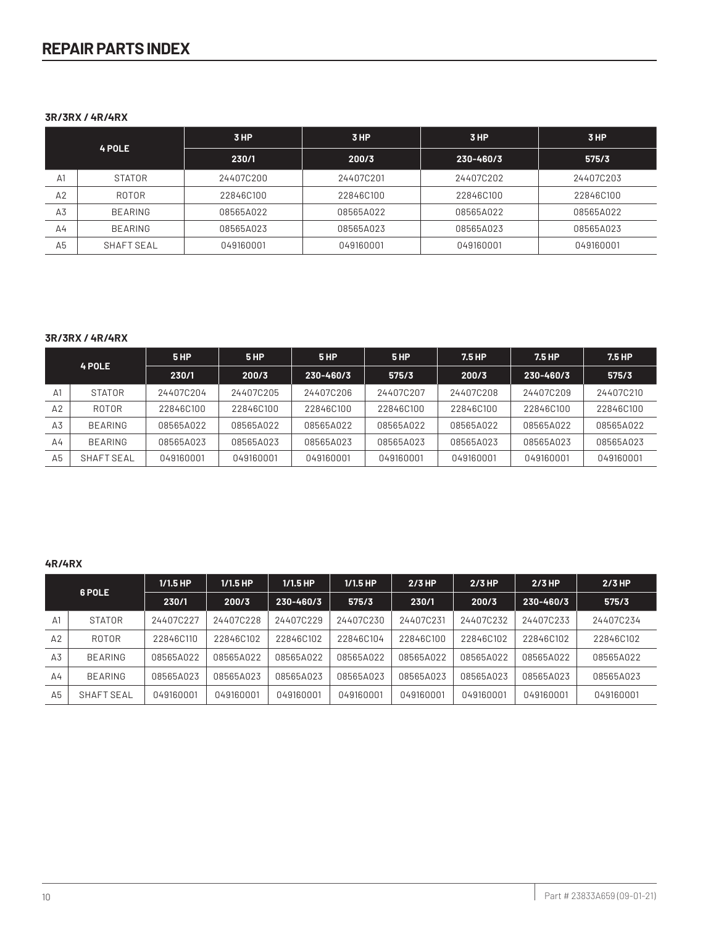#### **3R/3RX / 4R/4RX**

| 4 POLE         |                | 3HP       | 3 HP      | 3 HP      | 3 HP      |
|----------------|----------------|-----------|-----------|-----------|-----------|
|                |                | 230/1     | 200/3     | 230-460/3 | 575/3     |
| A <sub>1</sub> | <b>STATOR</b>  | 24407C200 | 24407C201 | 24407C202 | 24407C203 |
| A2             | <b>ROTOR</b>   | 22846C100 | 22846C100 | 22846C100 | 22846C100 |
| A3             | <b>BEARING</b> | 08565A022 | 08565A022 | 08565A022 | 08565A022 |
| Α4             | <b>BEARING</b> | 08565A023 | 08565A023 | 08565A023 | 08565A023 |
| A5             | SHAFT SEAL     | 049160001 | 049160001 | 049160001 | 049160001 |

#### **3R/3RX / 4R/4RX**

|                | 4 POLE        | 5HP       | 5HP       | 5HP       | 5HP       | 7.5 HP    | 7.5 HP    | 7.5 HP    |
|----------------|---------------|-----------|-----------|-----------|-----------|-----------|-----------|-----------|
|                |               | 230/1     | 200/3     | 230-460/3 | 575/3     | 200/3     | 230-460/3 | 575/3     |
| $\Delta$ 1     | <b>STATOR</b> | 24407C204 | 24407C205 | 24407C206 | 24407C207 | 24407C208 | 24407C209 | 24407C210 |
| A2             | ROTOR         | 22846C100 | 22846C100 | 22846C100 | 22846C100 | 22846C100 | 22846C100 | 22846C100 |
| A <sub>3</sub> | BEARING       | 08565A022 | 08565A022 | 08565A022 | 08565A022 | 08565A022 | 08565A022 | 08565A022 |
| $\Delta$ 4     | BEARING       | 08565A023 | 08565A023 | 08565A023 | 08565A023 | 08565A023 | 08565A023 | 08565A023 |
| A <sub>5</sub> | SHAFT SEAL    | 049160001 | 049160001 | 049160001 | 049160001 | 049160001 | 049160001 | 049160001 |

#### **4R/4RX**

|                |               | $1/1.5$ HP | $1/1.5$ HP | $1/1.5$ HP | $1/1.5$ HP | $2/3$ HP  | $2/3$ HP  | $2/3$ HP  | $2/3$ HP  |
|----------------|---------------|------------|------------|------------|------------|-----------|-----------|-----------|-----------|
| 6 POLE         |               | 230/1      | 200/3      | 230-460/3  | 575/3      | 230/1     | 200/3     | 230-460/3 | 575/3     |
| A1             | <b>STATOR</b> | 24407C227  | 24407C228  | 24407C229  | 24407C230  | 24407C231 | 24407C232 | 24407C233 | 24407C234 |
| A2             | ROTOR         | 22846C110  | 22846C102  | 22846C102  | 22846C104  | 22846C100 | 22846C102 | 22846C102 | 22846C102 |
| A3             | BEARING       | 08565A022  | 08565A022  | 08565A022  | 08565A022  | 08565A022 | 08565A022 | 08565A022 | 08565A022 |
| Δ4             | BEARING       | 08565A023  | 08565A023  | 08565A023  | 08565A023  | 08565A023 | 08565A023 | 08565A023 | 08565A023 |
| A <sub>5</sub> | SHAFT SEAL    | 049160001  | 049160001  | 049160001  | 049160001  | 049160001 | 049160001 | 049160001 | 049160001 |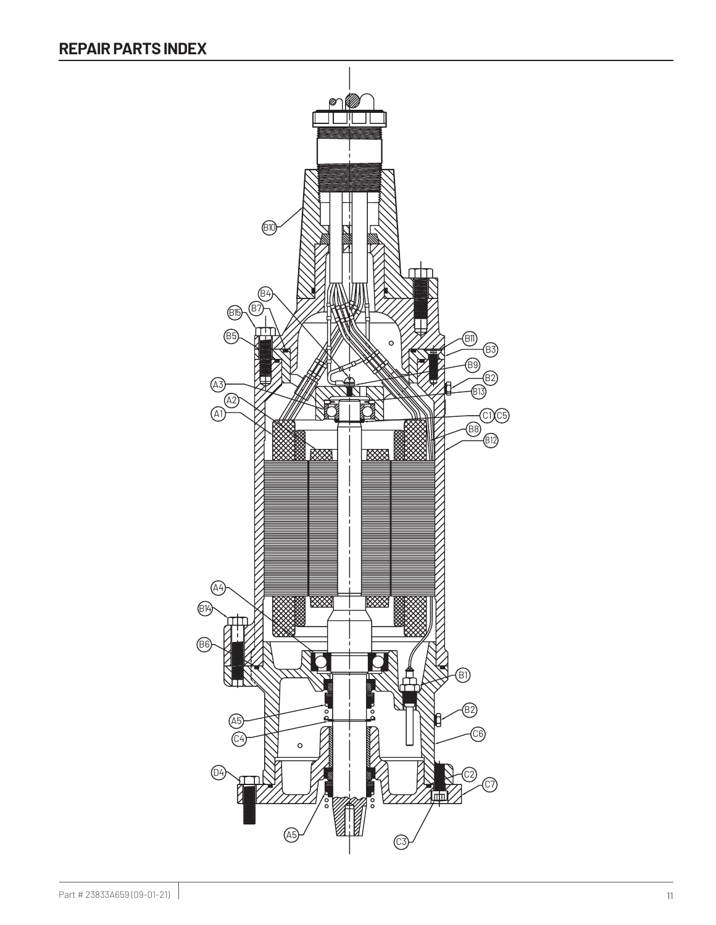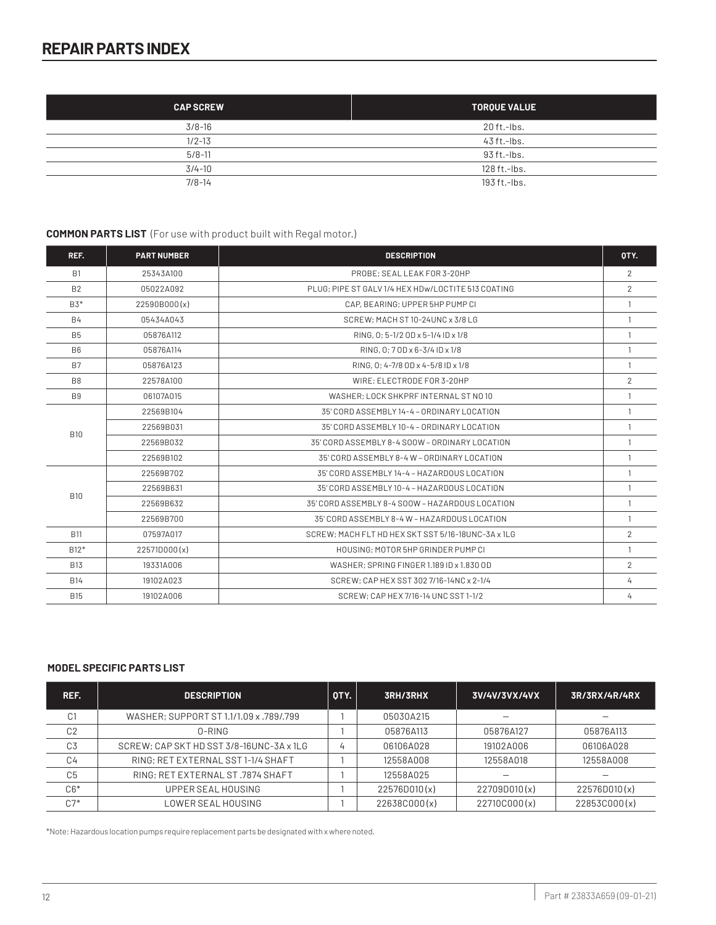| <b>CAP SCREW</b> | <b>TORQUE VALUE</b>       |
|------------------|---------------------------|
| $3/8 - 16$       | $20$ ft.- $\mathsf{b}$ s. |
| $1/2 - 13$       | 43 ft.-lbs.               |
| $5/8 - 11$       | $93$ ft.-lbs.             |
| $3/4 - 10$       | 128 ft.-lbs.              |
| $7/8 - 14$       | 193 ft.-lbs.              |

#### **COMMON PARTS LIST** (For use with product built with Regal motor.)

| REF.           | <b>PART NUMBER</b> | <b>DESCRIPTION</b>                                 | OTY.           |
|----------------|--------------------|----------------------------------------------------|----------------|
| <b>B1</b>      | 25343A100          | PROBE: SEAL LEAK FOR 3-20HP                        | 2              |
| <b>B2</b>      | 05022A092          | PLUG: PIPE ST GALV 1/4 HEX HDW/LOCTITE 513 COATING | $\mathbf{2}$   |
| $B3*$          | 22590B000(x)       | CAP, BEARING: UPPER 5HP PUMP CI                    | $\mathbf{1}$   |
| <b>B4</b>      | 05434A043          | SCREW: MACH ST 10-24UNC x 3/8 LG                   | $\mathbf{1}$   |
| <b>B5</b>      | 05876A112          | RING, 0: 5-1/2 OD x 5-1/4 ID x 1/8                 | $\mathbf{1}$   |
| B <sub>6</sub> | 05876A114          | RING, 0: 7 OD x 6-3/4 ID x 1/8                     | $\mathbf{1}$   |
| <b>B7</b>      | 05876A123          | RING, 0: 4-7/8 OD x 4-5/8 ID x 1/8                 | $\mathbf{1}$   |
| B <sub>8</sub> | 22578A100          | WIRE: ELECTRODE FOR 3-20HP                         | $\overline{2}$ |
| B <sub>9</sub> | 06107A015          | WASHER: LOCK SHKPRF INTERNAL ST NO 10              | $\mathbf{1}$   |
|                | 22569B104          | 35' CORD ASSEMBLY 14-4 - ORDINARY LOCATION         | $\mathbf{1}$   |
| <b>B10</b>     | 22569B031          | 35' CORD ASSEMBLY 10-4 - ORDINARY LOCATION         | $\mathbf{1}$   |
|                | 22569B032          | 35' CORD ASSEMBLY 8-4 SOOW - ORDINARY LOCATION     | $\mathbf{1}$   |
|                | 22569B102          | 35' CORD ASSEMBLY 8-4 W - ORDINARY LOCATION        | $\mathbf{1}$   |
|                | 22569B702          | 35' CORD ASSEMBLY 14-4 - HAZARDOUS LOCATION        | $\mathbf{1}$   |
| <b>B10</b>     | 22569B631          | 35' CORD ASSEMBLY 10-4 - HAZARDOUS LOCATION        | $\mathbf{1}$   |
|                | 22569B632          | 35' CORD ASSEMBLY 8-4 SOOW - HAZARDOUS LOCATION    | $\mathbf{1}$   |
|                | 22569B700          | 35' CORD ASSEMBLY 8-4 W - HAZARDOUS LOCATION       | $\mathbf{1}$   |
| <b>B11</b>     | 07597A017          | SCREW: MACH FLT HD HEX SKT SST 5/16-18UNC-3A x 1LG | $\overline{2}$ |
| $B12*$         | 22571D000(x)       | HOUSING: MOTOR 5HP GRINDER PUMP CI                 | $\mathbf{1}$   |
| <b>B13</b>     | 19331A006          | WASHER: SPRING FINGER 1.189 ID x 1.830 OD          | $\overline{2}$ |
| <b>B14</b>     | 19102A023          | SCREW: CAP HEX SST 302 7/16-14NC x 2-1/4           | 4              |
| <b>B15</b>     | 19102A006          | SCREW: CAP HEX 7/16-14 UNC SST 1-1/2               | 4              |

#### **MODEL SPECIFIC PARTS LIST**

| REF.           | <b>DESCRIPTION</b>                       | OTY. | <b>3RH/3RHX</b> | 3V/4V/3VX/4VX | <b>3R/3RX/4R/4RX</b> |
|----------------|------------------------------------------|------|-----------------|---------------|----------------------|
| C1             | WASHER; SUPPORT ST 1.1/1.09 x .789/.799  |      | 05030A215       |               |                      |
| C <sub>2</sub> | 0-RING                                   |      | 05876A113       | 05876A127     | 05876A113            |
| C <sub>3</sub> | SCREW; CAP SKT HD SST 3/8-16UNC-3A x 1LG | 4    | 06106A028       | 19102A006     | 06106A028            |
| C4             | RING: RET EXTERNAL SST 1-1/4 SHAFT       |      | 12558A008       | 12558A018     | 12558A008            |
| C <sub>5</sub> | RING; RET EXTERNAL ST.7874 SHAFT         |      | 12558A025       |               |                      |
| $C6*$          | UPPER SEAL HOUSING                       |      | 22576D010(x)    | 22709D010(x)  | 22576D010(x)         |
| $C7*$          | LOWER SEAL HOUSING                       |      | 22638C000(x)    | 22710C000(x)  | 22853C000(x)         |

\*Note: Hazardous location pumps require replacement parts be designated with x where noted.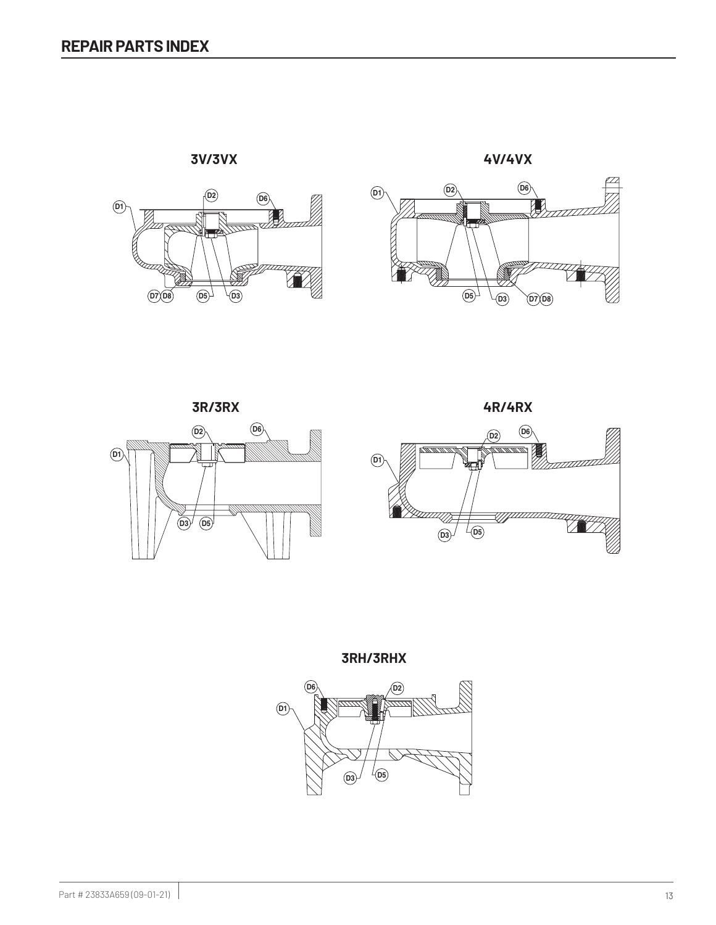



**3R/3RX**







**3RH/3RHX**

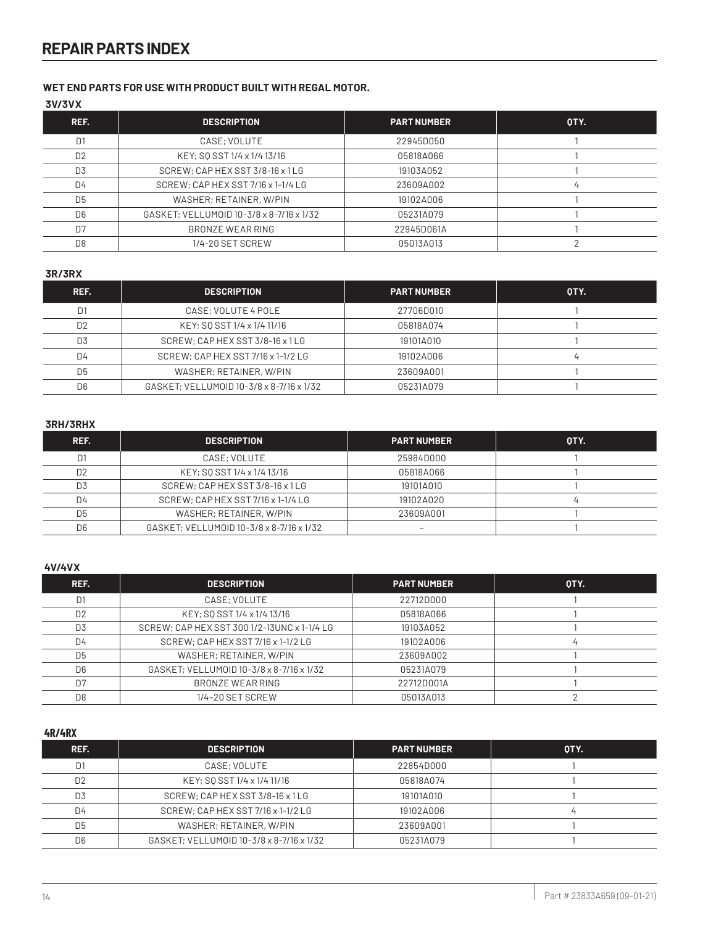#### **WET END PARTS FOR USE WITH PRODUCT BUILT WITH REGAL MOTOR.**

**3V/3VX**

| REF.           | <b>DESCRIPTION</b>                       | <b>PART NUMBER</b> | OTY. |
|----------------|------------------------------------------|--------------------|------|
| D <sub>1</sub> | CASE: VOLUTE                             | 22945D050          |      |
| D <sub>2</sub> | KEY; SO SST 1/4 x 1/4 13/16              | 05818A066          |      |
| D <sub>3</sub> | SCREW; CAP HEX SST 3/8-16 x 1 LG         | 19103A052          |      |
| D4             | SCREW; CAP HEX SST 7/16 x 1-1/4 LG       | 23609A002          |      |
| D <sub>5</sub> | WASHER; RETAINER, W/PIN                  | 19102A006          |      |
| D <sub>6</sub> | GASKET; VELLUMOID 10-3/8 x 8-7/16 x 1/32 | 05231A079          |      |
| D7             | BRONZE WEAR RING                         | 22945D061A         |      |
| D <sub>8</sub> | 1/4-20 SET SCREW                         | 050134013          |      |

#### **3R/3RX**

| REF.           | <b>DESCRIPTION</b>                       | <b>PART NUMBER</b> | OTY. |
|----------------|------------------------------------------|--------------------|------|
| D1             | CASE: VOLUTE 4 POLE                      | 27706D010          |      |
| D <sub>2</sub> | KEY; SO SST 1/4 x 1/4 11/16              | 05818A074          |      |
| D <sub>3</sub> | SCREW: CAP HEX SST 3/8-16 x 1 LG         | 19101A010          |      |
| D4             | SCREW; CAP HEX SST 7/16 x 1-1/2 LG       | 19102A006          |      |
| D <sub>5</sub> | WASHER: RETAINER, W/PIN                  | 23609A001          |      |
| D6             | GASKET: VELLUMOID 10-3/8 x 8-7/16 x 1/32 | 052314079          |      |

#### **3RH/3RHX**

| REF.           | <b>DESCRIPTION</b>                       | <b>PART NUMBER</b> | OTY. |
|----------------|------------------------------------------|--------------------|------|
| D1             | CASE: VOLUTE                             | 25984D000          |      |
| D <sub>2</sub> | KEY; SO SST 1/4 x 1/4 13/16              | 05818A066          |      |
| D <sub>3</sub> | SCREW: CAP HEX SST 3/8-16 x 1 LG         | 19101A010          |      |
| D4             | SCREW: CAP HEX SST 7/16 x 1-1/4 LG       | 19102A020          |      |
| D <sub>5</sub> | WASHER: RETAINER, W/PIN                  | 23609A001          |      |
| D <sub>6</sub> | GASKET: VELLUMOID 10-3/8 x 8-7/16 x 1/32 | -                  |      |

#### **4V/4VX**

| REF.           | <b>DESCRIPTION</b>                           | <b>PART NUMBER</b> | OTY. |
|----------------|----------------------------------------------|--------------------|------|
| D <sub>1</sub> | CASE: VOLUTE                                 | 22712D000          |      |
| D <sub>2</sub> | KEY: SO SST 1/4 x 1/4 13/16                  | 05818A066          |      |
| D <sub>3</sub> | SCREW: CAP HEX SST 300 1/2-13 UNC x 1-1/4 LG | 19103A052          |      |
| D4             | SCREW: CAP HEX SST 7/16 x 1-1/2 LG           | 19102A006          |      |
| D <sub>5</sub> | WASHER: RETAINER, W/PIN                      | 23609A002          |      |
| D <sub>6</sub> | GASKET: VELLUMOID 10-3/8 x 8-7/16 x 1/32     | 05231A079          |      |
| D7             | BRONZE WEAR RING                             | 22712D001A         |      |
| D <sub>8</sub> | 1/4-20 SET SCREW                             | 05013A013          |      |

#### **4R/4RX**

| REF.           | <b>DESCRIPTION</b>                       | <b>PART NUMBER</b> | OTY. |
|----------------|------------------------------------------|--------------------|------|
| D <sub>1</sub> | CASE: VOLUTE                             | 22854D000          |      |
| D <sub>2</sub> | KEY; SO SST 1/4 x 1/4 11/16              | 05818A074          |      |
| D <sub>3</sub> | SCREW; CAP HEX SST 3/8-16 x 1 LG         | 19101A010          |      |
| D4             | SCREW; CAP HEX SST 7/16 x 1-1/2 LG       | 19102A006          |      |
| D <sub>5</sub> | WASHER: RETAINER, W/PIN                  | 23609A001          |      |
| D <sub>6</sub> | GASKET: VELLUMOID 10-3/8 x 8-7/16 x 1/32 | 052314079          |      |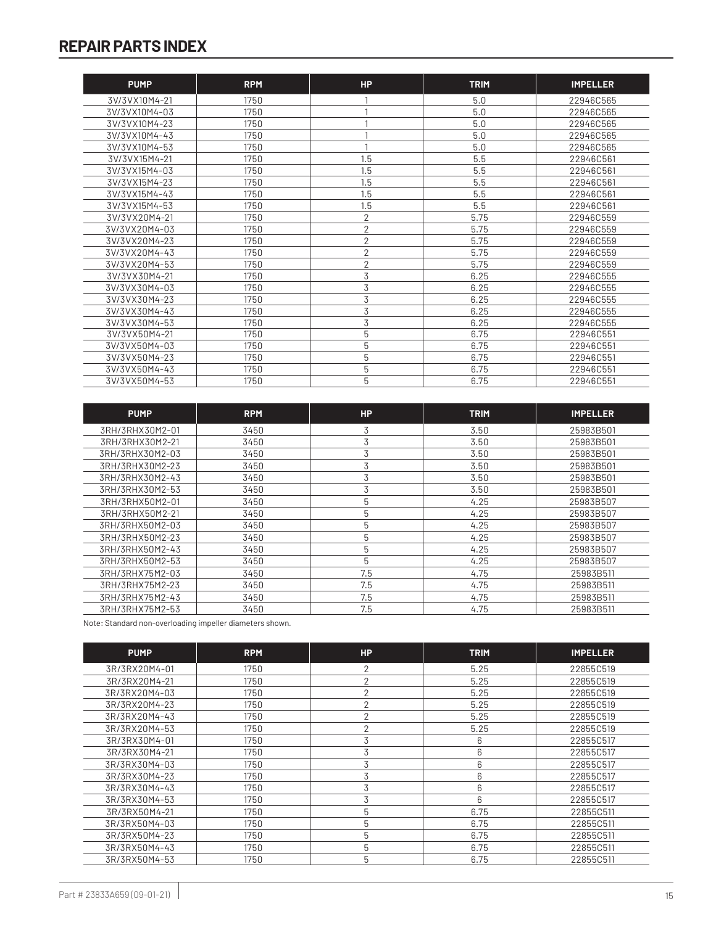| <b>PUMP</b>   | <b>RPM</b> | <b>HP</b>      | <b>TRIM</b> | <b>IMPELLER</b> |
|---------------|------------|----------------|-------------|-----------------|
| 3V/3VX10M4-21 | 1750       |                | 5.0         | 22946C565       |
| 3V/3VX10M4-03 | 1750       |                | 5.0         | 22946C565       |
| 3V/3VX10M4-23 | 1750       |                | 5.0         | 22946C565       |
| 3V/3VX10M4-43 | 1750       |                | 5.0         | 22946C565       |
| 3V/3VX10M4-53 | 1750       |                | 5.0         | 22946C565       |
| 3V/3VX15M4-21 | 1750       | 1.5            | 5.5         | 22946C561       |
| 3V/3VX15M4-03 | 1750       | 1.5            | 5.5         | 22946C561       |
| 3V/3VX15M4-23 | 1750       | 1.5            | 5.5         | 22946C561       |
| 3V/3VX15M4-43 | 1750       | 1.5            | 5.5         | 22946C561       |
| 3V/3VX15M4-53 | 1750       | 1.5            | 5.5         | 22946C561       |
| 3V/3VX20M4-21 | 1750       | $\overline{2}$ | 5.75        | 22946C559       |
| 3V/3VX20M4-03 | 1750       | $\overline{2}$ | 5.75        | 22946C559       |
| 3V/3VX20M4-23 | 1750       | $\overline{2}$ | 5.75        | 22946C559       |
| 3V/3VX20M4-43 | 1750       | $\overline{2}$ | 5.75        | 22946C559       |
| 3V/3VX20M4-53 | 1750       | $\overline{2}$ | 5.75        | 22946C559       |
| 3V/3VX30M4-21 | 1750       | 3              | 6.25        | 22946C555       |
| 3V/3VX30M4-03 | 1750       | 3              | 6.25        | 22946C555       |
| 3V/3VX30M4-23 | 1750       | 3              | 6.25        | 22946C555       |
| 3V/3VX30M4-43 | 1750       | 3              | 6.25        | 22946C555       |
| 3V/3VX30M4-53 | 1750       | 3              | 6.25        | 22946C555       |
| 3V/3VX50M4-21 | 1750       | 5              | 6.75        | 22946C551       |
| 3V/3VX50M4-03 | 1750       | 5              | 6.75        | 22946C551       |
| 3V/3VX50M4-23 | 1750       | 5              | 6.75        | 22946C551       |
| 3V/3VX50M4-43 | 1750       | 5              | 6.75        | 22946C551       |
| 3V/3VX50M4-53 | 1750       | 5              | 6.75        | 22946C551       |

| <b>PUMP</b>     | <b>RPM</b> | <b>HP</b> | <b>TRIM</b> | <b>IMPELLER</b> |
|-----------------|------------|-----------|-------------|-----------------|
| 3RH/3RHX30M2-01 | 3450       | 3         | 3.50        | 25983B501       |
| 3RH/3RHX30M2-21 | 3450       | 3         | 3.50        | 25983B501       |
| 3RH/3RHX30M2-03 | 3450       | 3         | 3.50        | 25983B501       |
| 3RH/3RHX30M2-23 | 3450       | 3         | 3.50        | 25983B501       |
| 3RH/3RHX30M2-43 | 3450       | 3         | 3.50        | 25983B501       |
| 3RH/3RHX30M2-53 | 3450       | 3         | 3.50        | 25983B501       |
| 3RH/3RHX50M2-01 | 3450       | 5         | 4.25        | 25983B507       |
| 3RH/3RHX50M2-21 | 3450       | 5         | 4.25        | 25983B507       |
| 3RH/3RHX50M2-03 | 3450       | 5         | 4.25        | 25983B507       |
| 3RH/3RHX50M2-23 | 3450       | 5         | 4.25        | 25983B507       |
| 3RH/3RHX50M2-43 | 3450       | 5         | 4.25        | 25983B507       |
| 3RH/3RHX50M2-53 | 3450       | 5         | 4.25        | 25983B507       |
| 3RH/3RHX75M2-03 | 3450       | 7.5       | 4.75        | 25983B511       |
| 3RH/3RHX75M2-23 | 3450       | 7.5       | 4.75        | 25983B511       |
| 3RH/3RHX75M2-43 | 3450       | 7.5       | 4.75        | 25983B511       |
| 3RH/3RHX75M2-53 | 3450       | 7.5       | 4.75        | 25983B511       |

Note: Standard non-overloading impeller diameters shown.

| <b>PUMP</b>   | <b>RPM</b> | <b>HP</b> | <b>TRIM</b> | <b>IMPELLER</b> |
|---------------|------------|-----------|-------------|-----------------|
| 3R/3RX20M4-01 | 1750       | 2         | 5.25        | 22855C519       |
| 3R/3RX20M4-21 | 1750       | 2         | 5.25        | 22855C519       |
| 3R/3RX20M4-03 | 1750       | 2         | 5.25        | 22855C519       |
| 3R/3RX20M4-23 | 1750       | 2         | 5.25        | 22855C519       |
| 3R/3RX20M4-43 | 1750       | 2         | 5.25        | 22855C519       |
| 3R/3RX20M4-53 | 1750       |           | 5.25        | 22855C519       |
| 3R/3RX30M4-01 | 1750       |           | 6           | 22855C517       |
| 3R/3RX30M4-21 | 1750       |           | 6           | 22855C517       |
| 3R/3RX30M4-03 | 1750       |           | 6           | 22855C517       |
| 3R/3RX30M4-23 | 1750       |           | 6           | 22855C517       |
| 3R/3RX30M4-43 | 1750       | 3         | 6           | 22855C517       |
| 3R/3RX30M4-53 | 1750       | 3         | 6           | 22855C517       |
| 3R/3RX50M4-21 | 1750       | 5         | 6.75        | 22855C511       |
| 3R/3RX50M4-03 | 1750       | 5         | 6.75        | 22855C511       |
| 3R/3RX50M4-23 | 1750       | 5         | 6.75        | 22855C511       |
| 3R/3RX50M4-43 | 1750       | 5         | 6.75        | 22855C511       |
| 3R/3RX50M4-53 | 1750       | 5         | 6.75        | 22855C511       |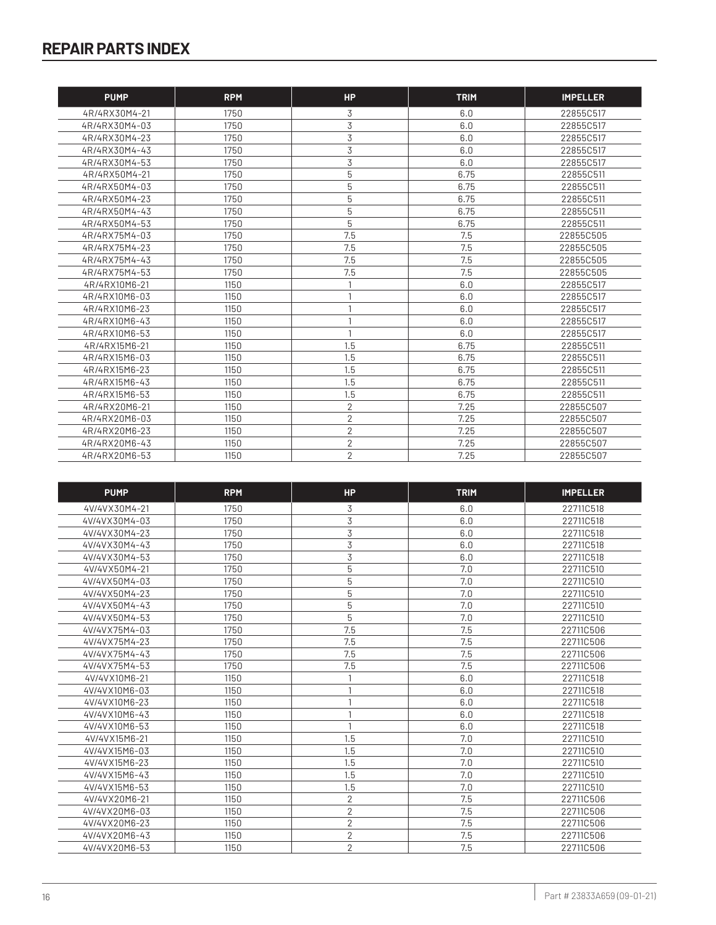| <b>PUMP</b>   | <b>RPM</b> | <b>HP</b>      | <b>TRIM</b> | <b>IMPELLER</b> |
|---------------|------------|----------------|-------------|-----------------|
| 4R/4RX30M4-21 | 1750       | 3              | 6.0         | 22855C517       |
| 4R/4RX30M4-03 | 1750       | 3              | 6.0         | 22855C517       |
| 4R/4RX30M4-23 | 1750       | 3              | 6.0         | 22855C517       |
| 4R/4RX30M4-43 | 1750       | 3              | 6.0         | 22855C517       |
| 4R/4RX30M4-53 | 1750       | 3              | 6.0         | 22855C517       |
| 4R/4RX50M4-21 | 1750       | 5              | 6.75        | 22855C511       |
| 4R/4RX50M4-03 | 1750       | 5              | 6.75        | 22855C511       |
| 4R/4RX50M4-23 | 1750       | 5              | 6.75        | 22855C511       |
| 4R/4RX50M4-43 | 1750       | 5              | 6.75        | 22855C511       |
| 4R/4RX50M4-53 | 1750       | 5              | 6.75        | 22855C511       |
| 4R/4RX75M4-03 | 1750       | 7.5            | 7.5         | 22855C505       |
| 4R/4RX75M4-23 | 1750       | 7.5            | 7.5         | 22855C505       |
| 4R/4RX75M4-43 | 1750       | 7.5            | 7.5         | 22855C505       |
| 4R/4RX75M4-53 | 1750       | 7.5            | 7.5         | 22855C505       |
| 4R/4RX10M6-21 | 1150       |                | 6.0         | 22855C517       |
| 4R/4RX10M6-03 | 1150       |                | 6.0         | 22855C517       |
| 4R/4RX10M6-23 | 1150       |                | 6.0         | 22855C517       |
| 4R/4RX10M6-43 | 1150       |                | 6.0         | 22855C517       |
| 4R/4RX10M6-53 | 1150       |                | 6.0         | 22855C517       |
| 4R/4RX15M6-21 | 1150       | 1.5            | 6.75        | 22855C511       |
| 4R/4RX15M6-03 | 1150       | 1.5            | 6.75        | 22855C511       |
| 4R/4RX15M6-23 | 1150       | 1.5            | 6.75        | 22855C511       |
| 4R/4RX15M6-43 | 1150       | 1.5            | 6.75        | 22855C511       |
| 4R/4RX15M6-53 | 1150       | 1.5            | 6.75        | 22855C511       |
| 4R/4RX20M6-21 | 1150       | 2              | 7.25        | 22855C507       |
| 4R/4RX20M6-03 | 1150       | $\overline{2}$ | 7.25        | 22855C507       |
| 4R/4RX20M6-23 | 1150       | $\overline{2}$ | 7.25        | 22855C507       |
| 4R/4RX20M6-43 | 1150       | $\overline{2}$ | 7.25        | 22855C507       |
| 4R/4RX20M6-53 | 1150       | $\overline{2}$ | 7.25        | 22855C507       |

| <b>PUMP</b>   | <b>RPM</b> | <b>HP</b>      | <b>TRIM</b> | <b>IMPELLER</b> |
|---------------|------------|----------------|-------------|-----------------|
| 4V/4VX30M4-21 | 1750       | 3              | 6.0         | 22711C518       |
| 4V/4VX30M4-03 | 1750       | 3              | 6.0         | 22711C518       |
| 4V/4VX30M4-23 | 1750       | 3              | 6.0         | 22711C518       |
| 4V/4VX30M4-43 | 1750       | 3              | 6.0         | 22711C518       |
| 4V/4VX30M4-53 | 1750       | 3              | 6.0         | 22711C518       |
| 4V/4VX50M4-21 | 1750       | 5              | 7.0         | 22711C510       |
| 4V/4VX50M4-03 | 1750       | 5              | 7.0         | 22711C510       |
| 4V/4VX50M4-23 | 1750       | 5              | 7.0         | 22711C510       |
| 4V/4VX50M4-43 | 1750       | 5              | 7.0         | 22711C510       |
| 4V/4VX50M4-53 | 1750       | 5              | 7.0         | 22711C510       |
| 4V/4VX75M4-03 | 1750       | 7.5            | 7.5         | 22711C506       |
| 4V/4VX75M4-23 | 1750       | 7.5            | 7.5         | 22711C506       |
| 4V/4VX75M4-43 | 1750       | 7.5            | 7.5         | 22711C506       |
| 4V/4VX75M4-53 | 1750       | 7.5            | 7.5         | 22711C506       |
| 4V/4VX10M6-21 | 1150       |                | 6.0         | 22711C518       |
| 4V/4VX10M6-03 | 1150       |                | 6.0         | 22711C518       |
| 4V/4VX10M6-23 | 1150       |                | 6.0         | 22711C518       |
| 4V/4VX10M6-43 | 1150       |                | 6.0         | 22711C518       |
| 4V/4VX10M6-53 | 1150       |                | 6.0         | 22711C518       |
| 4V/4VX15M6-21 | 1150       | 1.5            | 7.0         | 22711C510       |
| 4V/4VX15M6-03 | 1150       | 1.5            | 7.0         | 22711C510       |
| 4V/4VX15M6-23 | 1150       | 1.5            | 7.0         | 22711C510       |
| 4V/4VX15M6-43 | 1150       | 1.5            | 7.0         | 22711C510       |
| 4V/4VX15M6-53 | 1150       | 1.5            | 7.0         | 22711C510       |
| 4V/4VX20M6-21 | 1150       | $\overline{2}$ | 7.5         | 22711C506       |
| 4V/4VX20M6-03 | 1150       | $\mathbf{2}$   | 7.5         | 22711C506       |
| 4V/4VX20M6-23 | 1150       | $\overline{2}$ | 7.5         | 22711C506       |
| 4V/4VX20M6-43 | 1150       | 2              | 7.5         | 22711C506       |
| 4V/4VX20M6-53 | 1150       | $\overline{2}$ | 7.5         | 22711C506       |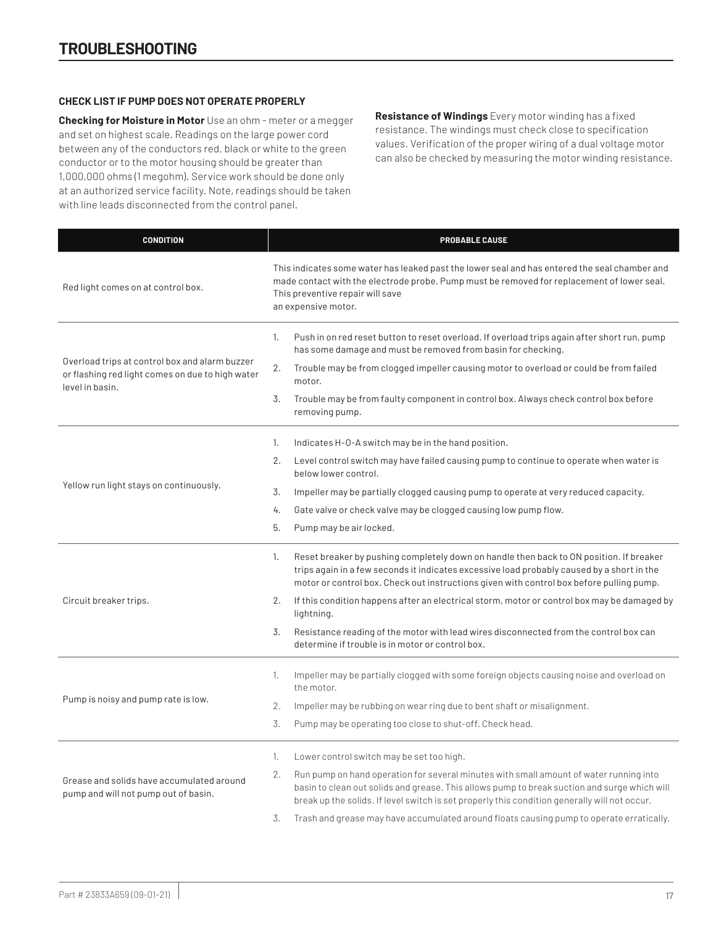#### **CHECK LIST IF PUMP DOES NOT OPERATE PROPERLY**

**Checking for Moisture in Motor** Use an ohm - meter or a megger and set on highest scale. Readings on the large power cord between any of the conductors red, black or white to the green conductor or to the motor housing should be greater than 1,000,000 ohms (1 megohm). Service work should be done only at an authorized service facility. Note, readings should be taken with line leads disconnected from the control panel.

**Resistance of Windings** Every motor winding has a fixed resistance. The windings must check close to specification values. Verification of the proper wiring of a dual voltage motor can also be checked by measuring the motor winding resistance.

| <b>CONDITION</b>                                                                                                      | <b>PROBABLE CAUSE</b>                                                                                                                                                                                                                                                                         |  |
|-----------------------------------------------------------------------------------------------------------------------|-----------------------------------------------------------------------------------------------------------------------------------------------------------------------------------------------------------------------------------------------------------------------------------------------|--|
| Red light comes on at control box.                                                                                    | This indicates some water has leaked past the lower seal and has entered the seal chamber and<br>made contact with the electrode probe. Pump must be removed for replacement of lower seal.<br>This preventive repair will save<br>an expensive motor.                                        |  |
|                                                                                                                       | Push in on red reset button to reset overload. If overload trips again after short run, pump<br>1.<br>has some damage and must be removed from basin for checking.                                                                                                                            |  |
| Overload trips at control box and alarm buzzer<br>or flashing red light comes on due to high water<br>level in basin. | 2.<br>Trouble may be from clogged impeller causing motor to overload or could be from failed<br>motor.                                                                                                                                                                                        |  |
|                                                                                                                       | 3.<br>Trouble may be from faulty component in control box. Always check control box before<br>removing pump.                                                                                                                                                                                  |  |
|                                                                                                                       | 1.<br>Indicates H-O-A switch may be in the hand position.                                                                                                                                                                                                                                     |  |
|                                                                                                                       | 2.<br>Level control switch may have failed causing pump to continue to operate when water is<br>below lower control.                                                                                                                                                                          |  |
| Yellow run light stays on continuously.                                                                               | 3.<br>Impeller may be partially clogged causing pump to operate at very reduced capacity.                                                                                                                                                                                                     |  |
|                                                                                                                       | 4.<br>Gate valve or check valve may be clogged causing low pump flow.                                                                                                                                                                                                                         |  |
|                                                                                                                       | 5.<br>Pump may be air locked.                                                                                                                                                                                                                                                                 |  |
|                                                                                                                       | Reset breaker by pushing completely down on handle then back to ON position. If breaker<br>1.<br>trips again in a few seconds it indicates excessive load probably caused by a short in the<br>motor or control box. Check out instructions given with control box before pulling pump.       |  |
| Circuit breaker trips.                                                                                                | 2.<br>If this condition happens after an electrical storm, motor or control box may be damaged by<br>lightning.                                                                                                                                                                               |  |
|                                                                                                                       | 3.<br>Resistance reading of the motor with lead wires disconnected from the control box can<br>determine if trouble is in motor or control box.                                                                                                                                               |  |
|                                                                                                                       | Impeller may be partially clogged with some foreign objects causing noise and overload on<br>1.<br>the motor.                                                                                                                                                                                 |  |
| Pump is noisy and pump rate is low.                                                                                   | 2.<br>Impeller may be rubbing on wear ring due to bent shaft or misalignment.                                                                                                                                                                                                                 |  |
|                                                                                                                       | 3.<br>Pump may be operating too close to shut-off. Check head.                                                                                                                                                                                                                                |  |
|                                                                                                                       | Lower control switch may be set too high.<br>1.                                                                                                                                                                                                                                               |  |
| Grease and solids have accumulated around<br>pump and will not pump out of basin.                                     | Run pump on hand operation for several minutes with small amount of water running into<br>2.<br>basin to clean out solids and grease. This allows pump to break suction and surge which will<br>break up the solids. If level switch is set properly this condition generally will not occur. |  |
|                                                                                                                       | 3.<br>Trash and grease may have accumulated around floats causing pump to operate erratically.                                                                                                                                                                                                |  |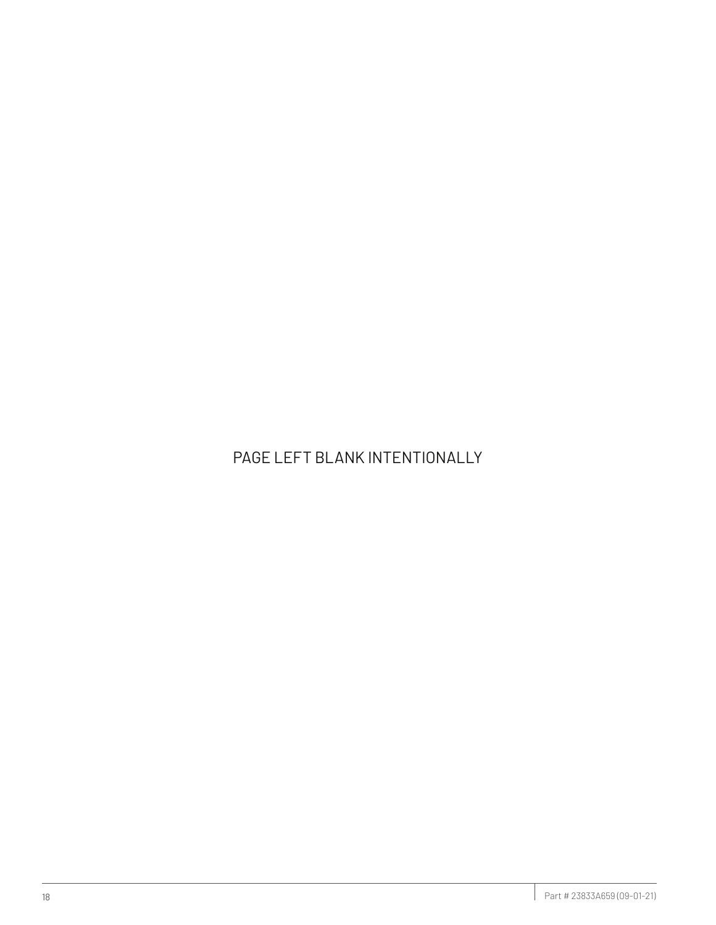PAGE LEFT BLANK INTENTIONALLY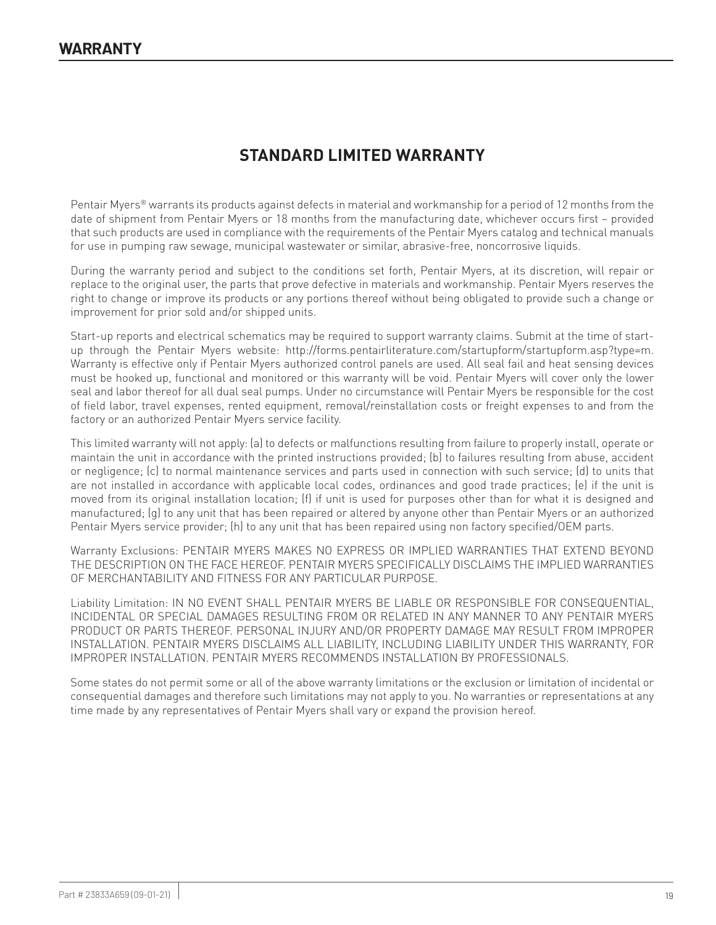## **STANDARD LIMITED WARRANTY**

Pentair Myers<sup>®</sup> warrants its products against defects in material and workmanship for a period of 12 months from the date of shipment from Pentair Myers or 18 months from the manufacturing date, whichever occurs first – provided that such products are used in compliance with the requirements of the Pentair Myers catalog and technical manuals for use in pumping raw sewage, municipal wastewater or similar, abrasive-free, noncorrosive liquids.

During the warranty period and subject to the conditions set forth, Pentair Myers, at its discretion, will repair or replace to the original user, the parts that prove defective in materials and workmanship. Pentair Myers reserves the right to change or improve its products or any portions thereof without being obligated to provide such a change or improvement for prior sold and/or shipped units.

Start-up reports and electrical schematics may be required to support warranty claims. Submit at the time of startup through the Pentair Myers website: http://forms.pentairliterature.com/startupform/startupform.asp?type=m. Warranty is effective only if Pentair Myers authorized control panels are used. All seal fail and heat sensing devices must be hooked up, functional and monitored or this warranty will be void. Pentair Myers will cover only the lower seal and labor thereof for all dual seal pumps. Under no circumstance will Pentair Myers be responsible for the cost of field labor, travel expenses, rented equipment, removal/reinstallation costs or freight expenses to and from the factory or an authorized Pentair Myers service facility.

This limited warranty will not apply: (a) to defects or malfunctions resulting from failure to properly install, operate or maintain the unit in accordance with the printed instructions provided; (b) to failures resulting from abuse, accident or negligence; (c) to normal maintenance services and parts used in connection with such service; (d) to units that are not installed in accordance with applicable local codes, ordinances and good trade practices; (e) if the unit is moved from its original installation location; (f) if unit is used for purposes other than for what it is designed and manufactured; (g) to any unit that has been repaired or altered by anyone other than Pentair Myers or an authorized Pentair Myers service provider; (h) to any unit that has been repaired using non factory specified/oEM parts.

Warranty Exclusions: PENTAIR MYERS MAKES NO EXPRESS OR IMPLIED WARRANTIES THAT EXTEND BEYOND thE dESCRiPtion on thE FACE hEREoF. PEntAiR MYERS SPECiFiCALLY diSCLAiMS thE iMPLiEd WARRAntiES oF MERChAntAbiLitY And FitnESS FoR AnY PARtiCuLAR PuRPoSE.

Liability Limitation: IN NO EVENT SHALL PENTAIR MYERS BE LIABLE OR RESPONSIBLE FOR CONSEQUENTIAL, inCidEntAL oR SPECiAL dAMAGES RESuLtinG FRoM oR RELAtEd in AnY MAnnER to AnY PEntAiR MYERS PRoduCt oR PARtS thEREoF. PERSonAL inJuRY And/oR PRoPERtY dAMAGE MAY RESuLt FRoM iMPRoPER inStALLAtion. PEntAiR MYERS diSCLAiMS ALL LiAbiLitY, inCLudinG LiAbiLitY undER thiS WARRAntY, FoR iMPRoPER inStALLAtion. PEntAiR MYERS RECoMMEndS inStALLAtion bY PRoFESSionALS.

Some states do not permit some or all of the above warranty limitations or the exclusion or limitation of incidental or consequential damages and therefore such limitations may not apply to you. No warranties or representations at any time made by any representatives of Pentair Myers shall vary or expand the provision hereof.